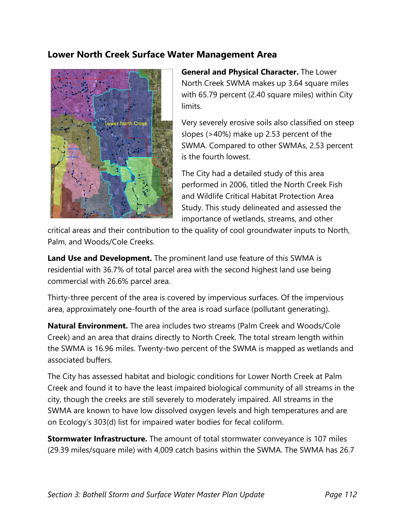## **Lower North Creek Surface Water Management Area**



**General and Physical Character.** The Lower North Creek SWMA makes up 3.64 square miles with 65.79 percent (2.40 square miles) within City limits.

Very severely erosive soils also classified on steep slopes (>40%) make up 2.53 percent of the SWMA. Compared to other SWMAs, 2.53 percent is the fourth lowest.

The City had a detailed study of this area performed in 2006, titled the North Creek Fish and Wildlife Critical Habitat Protection Area Study. This study delineated and assessed the importance of wetlands, streams, and other

critical areas and their contribution to the quality of cool groundwater inputs to North, Palm, and Woods/Cole Creeks.

**Land Use and Development.** The prominent land use feature of this SWMA is residential with 36.7% of total parcel area with the second highest land use being commercial with 26.6% parcel area.

Thirty-three percent of the area is covered by impervious surfaces. Of the impervious area, approximately one-fourth of the area is road surface (pollutant generating).

**Natural Environment.** The area includes two streams (Palm Creek and Woods/Cole Creek) and an area that drains directly to North Creek. The total stream length within the SWMA is 16.96 miles. Twenty-two percent of the SWMA is mapped as wetlands and associated buffers.

The City has assessed habitat and biologic conditions for Lower North Creek at Palm Creek and found it to have the least impaired biological community of all streams in the city, though the creeks are still severely to moderately impaired. All streams in the SWMA are known to have low dissolved oxygen levels and high temperatures and are on Ecology's 303(d) list for impaired water bodies for fecal coliform.

**Stormwater Infrastructure.** The amount of total stormwater conveyance is 107 miles (29.39 miles/square mile) with 4,009 catch basins within the SWMA. The SWMA has 26.7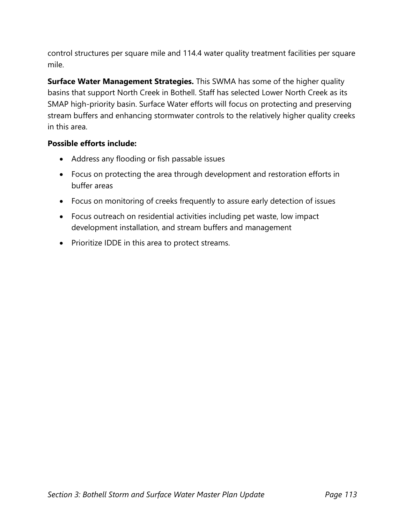control structures per square mile and 114.4 water quality treatment facilities per square mile.

**Surface Water Management Strategies.** This SWMA has some of the higher quality basins that support North Creek in Bothell. Staff has selected Lower North Creek as its SMAP high-priority basin. Surface Water efforts will focus on protecting and preserving stream buffers and enhancing stormwater controls to the relatively higher quality creeks in this area.

## **Possible efforts include:**

- Address any flooding or fish passable issues
- Focus on protecting the area through development and restoration efforts in buffer areas
- Focus on monitoring of creeks frequently to assure early detection of issues
- Focus outreach on residential activities including pet waste, low impact development installation, and stream buffers and management
- Prioritize IDDE in this area to protect streams.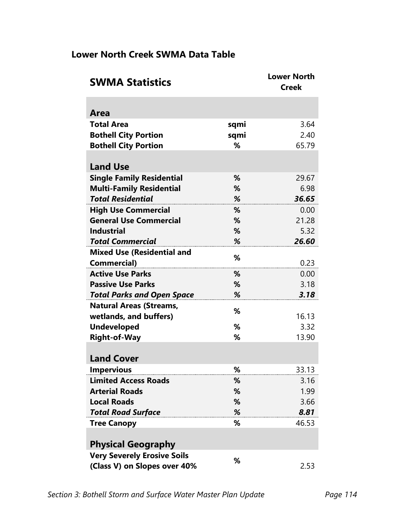## **Lower North Creek SWMA Data Table**

| <b>SWMA Statistics</b>             |      | <b>Lower North</b><br><b>Creek</b> |
|------------------------------------|------|------------------------------------|
|                                    |      |                                    |
| Area                               |      |                                    |
| <b>Total Area</b>                  | sqmi | 3.64                               |
| <b>Bothell City Portion</b>        | sqmi | 2.40                               |
| <b>Bothell City Portion</b>        | %    | 65.79                              |
|                                    |      |                                    |
| <b>Land Use</b>                    |      |                                    |
| <b>Single Family Residential</b>   | %    | 29.67                              |
| <b>Multi-Family Residential</b>    | %    | 6.98                               |
| <b>Total Residential</b>           | %    | 36.65                              |
| <b>High Use Commercial</b>         | %    | 0.00                               |
| <b>General Use Commercial</b>      | %    | 21.28                              |
| <b>Industrial</b>                  | %    | 5.32                               |
| <b>Total Commercial</b>            | %    | 26.60                              |
| <b>Mixed Use (Residential and</b>  | %    |                                    |
| <b>Commercial)</b>                 |      | 0.23                               |
| <b>Active Use Parks</b>            | %    | 0.00                               |
| <b>Passive Use Parks</b>           | %    | 3.18                               |
| <b>Total Parks and Open Space</b>  | %    | 3.18                               |
| <b>Natural Areas (Streams,</b>     | %    |                                    |
| wetlands, and buffers)             |      | 16.13                              |
| <b>Undeveloped</b>                 | %    | 3.32                               |
| <b>Right-of-Way</b>                | %    | 13.90                              |
|                                    |      |                                    |
| <b>Land Cover</b>                  |      |                                    |
| <b>Impervious</b>                  | %    | 33.13                              |
| <b>Limited Access Roads</b>        | %    | 3.16                               |
| <b>Arterial Roads</b>              | %    | 1.99                               |
| <b>Local Roads</b>                 | %    | 3.66                               |
| <b>Total Road Surface</b>          | %    | 8.81                               |
| <b>Tree Canopy</b>                 | %    | 46.53                              |
|                                    |      |                                    |
| <b>Physical Geography</b>          |      |                                    |
| <b>Very Severely Erosive Soils</b> | %    |                                    |
| (Class V) on Slopes over 40%       |      | 2.53                               |